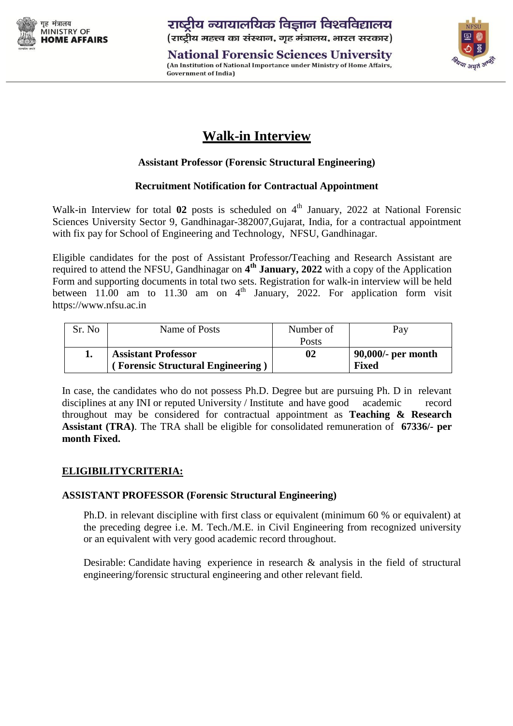

**National Forensic Sciences University** (An Institution of National Importance under Ministry of Home Affairs, **Government of India)** 



# **Walk-in Interview**

## **Assistant Professor (Forensic Structural Engineering)**

## **Recruitment Notification for Contractual Appointment**

Walk-in Interview for total 02 posts is scheduled on 4<sup>th</sup> January, 2022 at National Forensic Sciences University Sector 9, Gandhinagar-382007,Gujarat, India, for a contractual appointment with fix pay for School of Engineering and Technology, NFSU, Gandhinagar.

Eligible candidates for the post of Assistant Professor**/**Teaching and Research Assistant are required to attend the NFSU, Gandhinagar on 4<sup>th</sup> January, 2022 with a copy of the Application Form and supporting documents in total two sets. Registration for walk-in interview will be held between 11.00 am to 11.30 am on  $4<sup>th</sup>$  January, 2022. For application form visit https://www.nfsu.ac.in

| Sr. No | Name of Posts                            | Number of    | Pay                |
|--------|------------------------------------------|--------------|--------------------|
|        |                                          | <b>Posts</b> |                    |
|        | <b>Assistant Professor</b>               | 02           | 90,000/- per month |
|        | <b>Forensic Structural Engineering</b> ) |              | <b>Fixed</b>       |

In case, the candidates who do not possess Ph.D. Degree but are pursuing Ph. D in relevant disciplines at any INI or reputed University / Institute and have good academic record throughout may be considered for contractual appointment as **Teaching & Research Assistant (TRA)**. The TRA shall be eligible for consolidated remuneration of **67336/- per month Fixed.**

## **ELIGIBILITYCRITERIA:**

#### **ASSISTANT PROFESSOR (Forensic Structural Engineering)**

Ph.D. in relevant discipline with first class or equivalent (minimum 60 % or equivalent) at the preceding degree i.e. M. Tech./M.E. in Civil Engineering from recognized university or an equivalent with very good academic record throughout.

Desirable: Candidate having experience in research & analysis in the field of structural engineering/forensic structural engineering and other relevant field.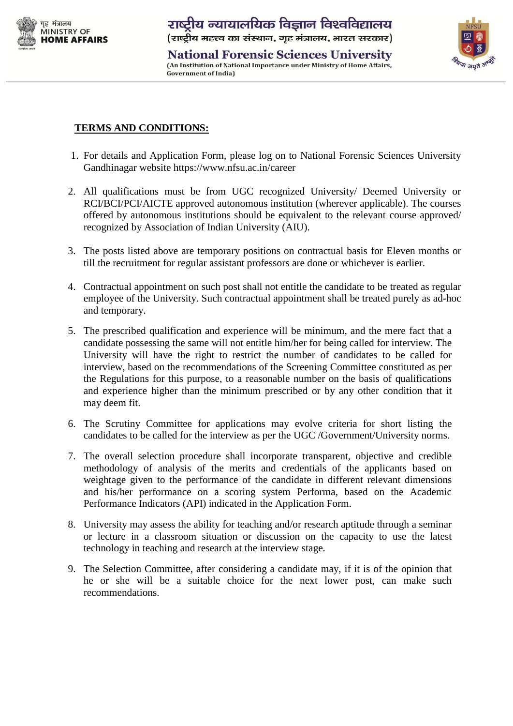

**National Forensic Sciences University** (An Institution of National Importance under Ministry of Home Affairs, **Government of India)** 



## **TERMS AND CONDITIONS:**

- 1. For details and Application Form, please log on to National Forensic Sciences University Gandhinagar website https://www.nfsu.ac.in/career
- 2. All qualifications must be from UGC recognized University/ Deemed University or RCI/BCI/PCI/AICTE approved autonomous institution (wherever applicable). The courses offered by autonomous institutions should be equivalent to the relevant course approved/ recognized by Association of Indian University (AIU).
- 3. The posts listed above are temporary positions on contractual basis for Eleven months or till the recruitment for regular assistant professors are done or whichever is earlier.
- 4. Contractual appointment on such post shall not entitle the candidate to be treated as regular employee of the University. Such contractual appointment shall be treated purely as ad-hoc and temporary.
- 5. The prescribed qualification and experience will be minimum, and the mere fact that a candidate possessing the same will not entitle him/her for being called for interview. The University will have the right to restrict the number of candidates to be called for interview, based on the recommendations of the Screening Committee constituted as per the Regulations for this purpose, to a reasonable number on the basis of qualifications and experience higher than the minimum prescribed or by any other condition that it may deem fit.
- 6. The Scrutiny Committee for applications may evolve criteria for short listing the candidates to be called for the interview as per the UGC /Government/University norms.
- 7. The overall selection procedure shall incorporate transparent, objective and credible methodology of analysis of the merits and credentials of the applicants based on weightage given to the performance of the candidate in different relevant dimensions and his/her performance on a scoring system Performa, based on the Academic Performance Indicators (API) indicated in the Application Form.
- 8. University may assess the ability for teaching and/or research aptitude through a seminar or lecture in a classroom situation or discussion on the capacity to use the latest technology in teaching and research at the interview stage.
- 9. The Selection Committee, after considering a candidate may, if it is of the opinion that he or she will be a suitable choice for the next lower post, can make such recommendations.